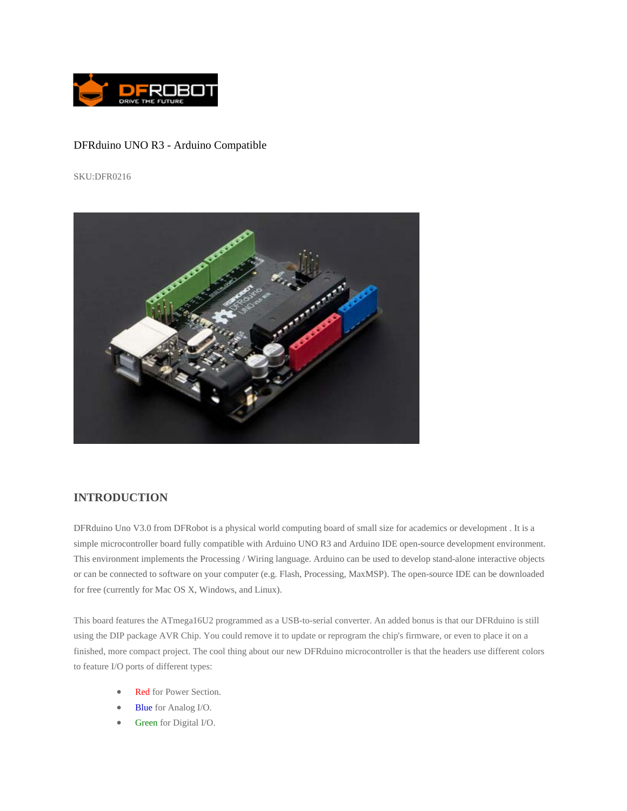

## DFRduino UNO R3 - Arduino Compatible

SKU:DFR0216



## **INTRODUCTION**

DFRduino Uno V3.0 from DFRobot is a physical world computing board of small size for academics or development . It is a simple microcontroller board fully compatible with Arduino UNO R3 and Arduino IDE open-source development environment. This environment implements the Processing / Wiring language. Arduino can be used to develop stand-alone interactive objects or can be connected to software on your computer (e.g. Flash, Processing, MaxMSP). The open-source IDE can be downloaded for free (currently for Mac OS X, Windows, and Linux).

This board features the ATmega16U2 programmed as a USB-to-serial converter. An added bonus is that our DFRduino is still using the DIP package AVR Chip. You could remove it to update or reprogram the chip's firmware, or even to place it on a finished, more compact project. The cool thing about our new DFRduino microcontroller is that the headers use different colors to feature I/O ports of different types:

- Red for Power Section.
- Blue for Analog I/O.
- Green for Digital I/O.